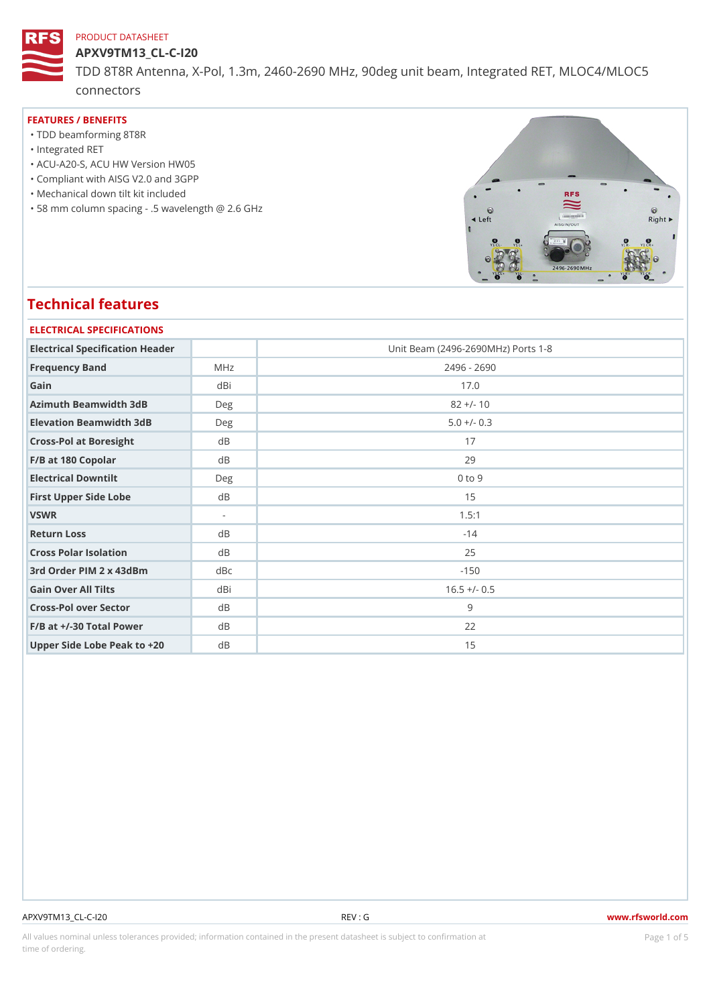APXV9TM13\_CL-C-I20 TDD 8T8R Antenna, X-Pol, 1.3m, 2460-2690 MHz, 90deg unit beam, Int connectors

#### FEATURES / BENEFITS

- "TDD beamforming 8T8R
- "Integrated RET
- "ACU-A20-S, ACU HW Version HW05
- "Compliant with AISG V2.0 and 3GPP
- "Mechanical down tilt kit included
- "58 mm column spacing .5 wavelength @ 2.6 GHz

# Technical features

| ELECTRICAL SPECIFICATIONS       |                      |                                    |  |  |  |  |  |  |
|---------------------------------|----------------------|------------------------------------|--|--|--|--|--|--|
| Electrical Specification Header |                      | Unit Beam (2496-2690MHz) Ports 1-8 |  |  |  |  |  |  |
| Frequency Band                  | M H z                | $2496 - 2690$                      |  |  |  |  |  |  |
| Gain                            | dBi                  | 17.0                               |  |  |  |  |  |  |
| Azimuth Beamwidth 3dB           | Deg                  | $82 +/- 10$                        |  |  |  |  |  |  |
| Elevation Beamwidth 3dB         | Deg                  | $5.0 +/- 0.3$                      |  |  |  |  |  |  |
| Cross-Pol at Boresight          | d B                  | 17                                 |  |  |  |  |  |  |
| F/B at 180 Copolar              | d B                  | 29                                 |  |  |  |  |  |  |
| Electrical Downtilt             | $D \in \mathfrak{g}$ | $0$ to $9$                         |  |  |  |  |  |  |
| First Upper Side Lobe           | d B                  | 15                                 |  |  |  |  |  |  |
| VSWR                            | $\sim$               | 1.5:1                              |  |  |  |  |  |  |
| Return Loss                     | d B                  | $-14$                              |  |  |  |  |  |  |
| Cross Polar Isolation           | d B                  | 25                                 |  |  |  |  |  |  |
| 3rd Order PIM 2 x 43dBm         | dBc                  | $-150$                             |  |  |  |  |  |  |
| Gain Over All Tilts             | dBi                  | $16.5 +/- 0.5$                     |  |  |  |  |  |  |
| Cross-Pol over Sector           | d B                  | 9                                  |  |  |  |  |  |  |
| $F/B$ at $+/-30$ Total Power    | $d \, B$             | 22                                 |  |  |  |  |  |  |
| Upper Side Lobe Peak to +20B    |                      | 15                                 |  |  |  |  |  |  |

#### APXV9TM13\_CL-C-I20 REV : G www.rfsworld.com

All values nominal unless tolerances provided; information contained in the present datasheet is subject to PcaogneionIm Sstid time of ordering.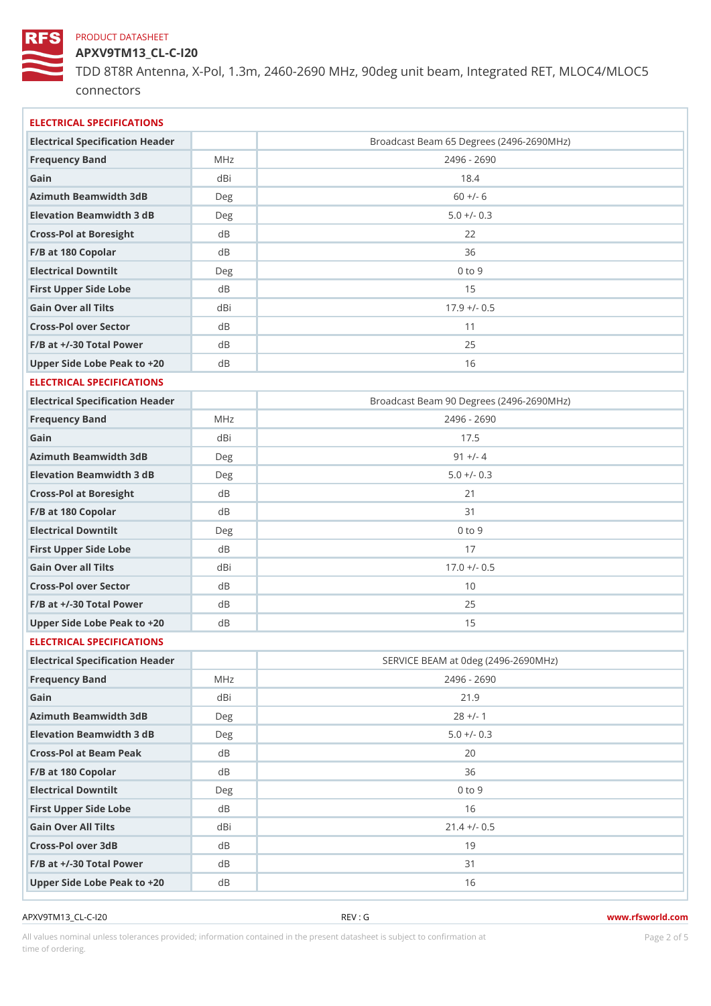APXV9TM13\_CL-C-I20 TDD 8T8R Antenna, X-Pol, 1.3m, 2460-2690 MHz, 90deg unit beam, Int connectors

| Electrical Specification Header<br>Broadcast Beam 65 Degrees (2496-2690MHz)<br>Frequency Band<br>MHz<br>2496 - 2690<br>Gain<br>dBi<br>18.4<br>Azimuth Beamwidth 3dB<br>$60 +/- 6$<br>D e g<br>Elevation Beamwidth 3 dB<br>$5.0 +/- 0.3$<br>Deg<br>Cross-Pol at Boresight<br>d B<br>22<br>F/B at 180 Copolar<br>d B<br>36<br>$0$ to $9$<br>Electrical Downtilt<br>D e g<br>15<br>First Upper Side Lobe<br>d B<br>Gain Over all Tilts<br>$17.9$ +/- 0.5<br>dBi<br>Cross-Pol over Sector<br>d B<br>11<br>$F/B$ at $+/-30$ Total Power<br>25<br>d B<br>Upper Side Lobe Peak to +20B<br>16<br>ELECTRICAL SPECIFICATIONS<br>Electrical Specification Header<br>Broadcast Beam 90 Degrees (2496-2690MHz)<br>$2496 - 2690$<br>Frequency Band<br>M H z<br>Gain<br>dBi<br>17.5<br>Azimuth Beamwidth 3dB<br>$91 +/- 4$<br>Deg<br>Elevation Beamwidth 3 dB<br>$5.0 +/- 0.3$<br>Deg<br>Cross-Pol at Boresight<br>d B<br>21<br>F/B at 180 Copolar<br>d B<br>31<br>$0$ to $9$<br>Electrical Downtilt<br>Deg<br>First Upper Side Lobe<br>17<br>d B<br>$17.0 +/- 0.5$<br>Gain Over all Tilts<br>dBi<br>Cross-Pol over Sector<br>d B<br>10<br>$F/B$ at $+/-30$ Total Power<br>25<br>d B<br>Upper Side Lobe Peak to +20B<br>15<br>ELECTRICAL SPECIFICATIONS<br>Electrical Specification Header<br>SERVICE BEAM at Odeg (2496-2690MHz)<br>2496 - 2690<br>Frequency Band<br>M H z<br>Gain<br>dBi<br>21.9<br>Azimuth Beamwidth 3dB<br>$28 +/- 1$<br>Deg<br>Elevation Beamwidth 3 dB<br>$5.0 +/- 0.3$<br>Deg<br>Cross-Pol at Beam Peak<br>20<br>d B<br>F/B at 180 Copolar<br>d B<br>36<br>Electrical Downtilt<br>$0$ to $9$<br>Deg<br>First Upper Side Lobe<br>16<br>d B<br>Gain Over All Tilts<br>$21.4$ +/- 0.5<br>dBi<br>Cross-Pol over 3dB<br>19<br>d B<br>$F/B$ at $+/-30$ Total Power<br>31<br>d B<br>Upper Side Lobe Peak to +20B<br>16 | ELECTRICAL SPECIFICATIONS |  |
|-------------------------------------------------------------------------------------------------------------------------------------------------------------------------------------------------------------------------------------------------------------------------------------------------------------------------------------------------------------------------------------------------------------------------------------------------------------------------------------------------------------------------------------------------------------------------------------------------------------------------------------------------------------------------------------------------------------------------------------------------------------------------------------------------------------------------------------------------------------------------------------------------------------------------------------------------------------------------------------------------------------------------------------------------------------------------------------------------------------------------------------------------------------------------------------------------------------------------------------------------------------------------------------------------------------------------------------------------------------------------------------------------------------------------------------------------------------------------------------------------------------------------------------------------------------------------------------------------------------------------------------------------------------------------------------------------------------------------------------------------------------------------------------------------------------------------|---------------------------|--|
|                                                                                                                                                                                                                                                                                                                                                                                                                                                                                                                                                                                                                                                                                                                                                                                                                                                                                                                                                                                                                                                                                                                                                                                                                                                                                                                                                                                                                                                                                                                                                                                                                                                                                                                                                                                                                         |                           |  |
|                                                                                                                                                                                                                                                                                                                                                                                                                                                                                                                                                                                                                                                                                                                                                                                                                                                                                                                                                                                                                                                                                                                                                                                                                                                                                                                                                                                                                                                                                                                                                                                                                                                                                                                                                                                                                         |                           |  |
|                                                                                                                                                                                                                                                                                                                                                                                                                                                                                                                                                                                                                                                                                                                                                                                                                                                                                                                                                                                                                                                                                                                                                                                                                                                                                                                                                                                                                                                                                                                                                                                                                                                                                                                                                                                                                         |                           |  |
|                                                                                                                                                                                                                                                                                                                                                                                                                                                                                                                                                                                                                                                                                                                                                                                                                                                                                                                                                                                                                                                                                                                                                                                                                                                                                                                                                                                                                                                                                                                                                                                                                                                                                                                                                                                                                         |                           |  |
|                                                                                                                                                                                                                                                                                                                                                                                                                                                                                                                                                                                                                                                                                                                                                                                                                                                                                                                                                                                                                                                                                                                                                                                                                                                                                                                                                                                                                                                                                                                                                                                                                                                                                                                                                                                                                         |                           |  |
|                                                                                                                                                                                                                                                                                                                                                                                                                                                                                                                                                                                                                                                                                                                                                                                                                                                                                                                                                                                                                                                                                                                                                                                                                                                                                                                                                                                                                                                                                                                                                                                                                                                                                                                                                                                                                         |                           |  |
|                                                                                                                                                                                                                                                                                                                                                                                                                                                                                                                                                                                                                                                                                                                                                                                                                                                                                                                                                                                                                                                                                                                                                                                                                                                                                                                                                                                                                                                                                                                                                                                                                                                                                                                                                                                                                         |                           |  |
|                                                                                                                                                                                                                                                                                                                                                                                                                                                                                                                                                                                                                                                                                                                                                                                                                                                                                                                                                                                                                                                                                                                                                                                                                                                                                                                                                                                                                                                                                                                                                                                                                                                                                                                                                                                                                         |                           |  |
|                                                                                                                                                                                                                                                                                                                                                                                                                                                                                                                                                                                                                                                                                                                                                                                                                                                                                                                                                                                                                                                                                                                                                                                                                                                                                                                                                                                                                                                                                                                                                                                                                                                                                                                                                                                                                         |                           |  |
|                                                                                                                                                                                                                                                                                                                                                                                                                                                                                                                                                                                                                                                                                                                                                                                                                                                                                                                                                                                                                                                                                                                                                                                                                                                                                                                                                                                                                                                                                                                                                                                                                                                                                                                                                                                                                         |                           |  |
|                                                                                                                                                                                                                                                                                                                                                                                                                                                                                                                                                                                                                                                                                                                                                                                                                                                                                                                                                                                                                                                                                                                                                                                                                                                                                                                                                                                                                                                                                                                                                                                                                                                                                                                                                                                                                         |                           |  |
|                                                                                                                                                                                                                                                                                                                                                                                                                                                                                                                                                                                                                                                                                                                                                                                                                                                                                                                                                                                                                                                                                                                                                                                                                                                                                                                                                                                                                                                                                                                                                                                                                                                                                                                                                                                                                         |                           |  |
|                                                                                                                                                                                                                                                                                                                                                                                                                                                                                                                                                                                                                                                                                                                                                                                                                                                                                                                                                                                                                                                                                                                                                                                                                                                                                                                                                                                                                                                                                                                                                                                                                                                                                                                                                                                                                         |                           |  |
|                                                                                                                                                                                                                                                                                                                                                                                                                                                                                                                                                                                                                                                                                                                                                                                                                                                                                                                                                                                                                                                                                                                                                                                                                                                                                                                                                                                                                                                                                                                                                                                                                                                                                                                                                                                                                         |                           |  |
|                                                                                                                                                                                                                                                                                                                                                                                                                                                                                                                                                                                                                                                                                                                                                                                                                                                                                                                                                                                                                                                                                                                                                                                                                                                                                                                                                                                                                                                                                                                                                                                                                                                                                                                                                                                                                         |                           |  |
|                                                                                                                                                                                                                                                                                                                                                                                                                                                                                                                                                                                                                                                                                                                                                                                                                                                                                                                                                                                                                                                                                                                                                                                                                                                                                                                                                                                                                                                                                                                                                                                                                                                                                                                                                                                                                         |                           |  |
|                                                                                                                                                                                                                                                                                                                                                                                                                                                                                                                                                                                                                                                                                                                                                                                                                                                                                                                                                                                                                                                                                                                                                                                                                                                                                                                                                                                                                                                                                                                                                                                                                                                                                                                                                                                                                         |                           |  |
|                                                                                                                                                                                                                                                                                                                                                                                                                                                                                                                                                                                                                                                                                                                                                                                                                                                                                                                                                                                                                                                                                                                                                                                                                                                                                                                                                                                                                                                                                                                                                                                                                                                                                                                                                                                                                         |                           |  |
|                                                                                                                                                                                                                                                                                                                                                                                                                                                                                                                                                                                                                                                                                                                                                                                                                                                                                                                                                                                                                                                                                                                                                                                                                                                                                                                                                                                                                                                                                                                                                                                                                                                                                                                                                                                                                         |                           |  |
|                                                                                                                                                                                                                                                                                                                                                                                                                                                                                                                                                                                                                                                                                                                                                                                                                                                                                                                                                                                                                                                                                                                                                                                                                                                                                                                                                                                                                                                                                                                                                                                                                                                                                                                                                                                                                         |                           |  |
|                                                                                                                                                                                                                                                                                                                                                                                                                                                                                                                                                                                                                                                                                                                                                                                                                                                                                                                                                                                                                                                                                                                                                                                                                                                                                                                                                                                                                                                                                                                                                                                                                                                                                                                                                                                                                         |                           |  |
|                                                                                                                                                                                                                                                                                                                                                                                                                                                                                                                                                                                                                                                                                                                                                                                                                                                                                                                                                                                                                                                                                                                                                                                                                                                                                                                                                                                                                                                                                                                                                                                                                                                                                                                                                                                                                         |                           |  |
|                                                                                                                                                                                                                                                                                                                                                                                                                                                                                                                                                                                                                                                                                                                                                                                                                                                                                                                                                                                                                                                                                                                                                                                                                                                                                                                                                                                                                                                                                                                                                                                                                                                                                                                                                                                                                         |                           |  |
|                                                                                                                                                                                                                                                                                                                                                                                                                                                                                                                                                                                                                                                                                                                                                                                                                                                                                                                                                                                                                                                                                                                                                                                                                                                                                                                                                                                                                                                                                                                                                                                                                                                                                                                                                                                                                         |                           |  |
|                                                                                                                                                                                                                                                                                                                                                                                                                                                                                                                                                                                                                                                                                                                                                                                                                                                                                                                                                                                                                                                                                                                                                                                                                                                                                                                                                                                                                                                                                                                                                                                                                                                                                                                                                                                                                         |                           |  |
|                                                                                                                                                                                                                                                                                                                                                                                                                                                                                                                                                                                                                                                                                                                                                                                                                                                                                                                                                                                                                                                                                                                                                                                                                                                                                                                                                                                                                                                                                                                                                                                                                                                                                                                                                                                                                         |                           |  |
|                                                                                                                                                                                                                                                                                                                                                                                                                                                                                                                                                                                                                                                                                                                                                                                                                                                                                                                                                                                                                                                                                                                                                                                                                                                                                                                                                                                                                                                                                                                                                                                                                                                                                                                                                                                                                         |                           |  |
|                                                                                                                                                                                                                                                                                                                                                                                                                                                                                                                                                                                                                                                                                                                                                                                                                                                                                                                                                                                                                                                                                                                                                                                                                                                                                                                                                                                                                                                                                                                                                                                                                                                                                                                                                                                                                         |                           |  |
|                                                                                                                                                                                                                                                                                                                                                                                                                                                                                                                                                                                                                                                                                                                                                                                                                                                                                                                                                                                                                                                                                                                                                                                                                                                                                                                                                                                                                                                                                                                                                                                                                                                                                                                                                                                                                         |                           |  |
|                                                                                                                                                                                                                                                                                                                                                                                                                                                                                                                                                                                                                                                                                                                                                                                                                                                                                                                                                                                                                                                                                                                                                                                                                                                                                                                                                                                                                                                                                                                                                                                                                                                                                                                                                                                                                         |                           |  |
|                                                                                                                                                                                                                                                                                                                                                                                                                                                                                                                                                                                                                                                                                                                                                                                                                                                                                                                                                                                                                                                                                                                                                                                                                                                                                                                                                                                                                                                                                                                                                                                                                                                                                                                                                                                                                         |                           |  |
|                                                                                                                                                                                                                                                                                                                                                                                                                                                                                                                                                                                                                                                                                                                                                                                                                                                                                                                                                                                                                                                                                                                                                                                                                                                                                                                                                                                                                                                                                                                                                                                                                                                                                                                                                                                                                         |                           |  |
|                                                                                                                                                                                                                                                                                                                                                                                                                                                                                                                                                                                                                                                                                                                                                                                                                                                                                                                                                                                                                                                                                                                                                                                                                                                                                                                                                                                                                                                                                                                                                                                                                                                                                                                                                                                                                         |                           |  |
|                                                                                                                                                                                                                                                                                                                                                                                                                                                                                                                                                                                                                                                                                                                                                                                                                                                                                                                                                                                                                                                                                                                                                                                                                                                                                                                                                                                                                                                                                                                                                                                                                                                                                                                                                                                                                         |                           |  |
|                                                                                                                                                                                                                                                                                                                                                                                                                                                                                                                                                                                                                                                                                                                                                                                                                                                                                                                                                                                                                                                                                                                                                                                                                                                                                                                                                                                                                                                                                                                                                                                                                                                                                                                                                                                                                         |                           |  |
|                                                                                                                                                                                                                                                                                                                                                                                                                                                                                                                                                                                                                                                                                                                                                                                                                                                                                                                                                                                                                                                                                                                                                                                                                                                                                                                                                                                                                                                                                                                                                                                                                                                                                                                                                                                                                         |                           |  |
|                                                                                                                                                                                                                                                                                                                                                                                                                                                                                                                                                                                                                                                                                                                                                                                                                                                                                                                                                                                                                                                                                                                                                                                                                                                                                                                                                                                                                                                                                                                                                                                                                                                                                                                                                                                                                         |                           |  |
|                                                                                                                                                                                                                                                                                                                                                                                                                                                                                                                                                                                                                                                                                                                                                                                                                                                                                                                                                                                                                                                                                                                                                                                                                                                                                                                                                                                                                                                                                                                                                                                                                                                                                                                                                                                                                         |                           |  |
|                                                                                                                                                                                                                                                                                                                                                                                                                                                                                                                                                                                                                                                                                                                                                                                                                                                                                                                                                                                                                                                                                                                                                                                                                                                                                                                                                                                                                                                                                                                                                                                                                                                                                                                                                                                                                         |                           |  |
|                                                                                                                                                                                                                                                                                                                                                                                                                                                                                                                                                                                                                                                                                                                                                                                                                                                                                                                                                                                                                                                                                                                                                                                                                                                                                                                                                                                                                                                                                                                                                                                                                                                                                                                                                                                                                         |                           |  |
|                                                                                                                                                                                                                                                                                                                                                                                                                                                                                                                                                                                                                                                                                                                                                                                                                                                                                                                                                                                                                                                                                                                                                                                                                                                                                                                                                                                                                                                                                                                                                                                                                                                                                                                                                                                                                         |                           |  |

APXV9TM13\_CL-C-I20 REV : G www.rfsworld.com

All values nominal unless tolerances provided; information contained in the present datasheet is subject to Pcaognéio 21 matio time of ordering.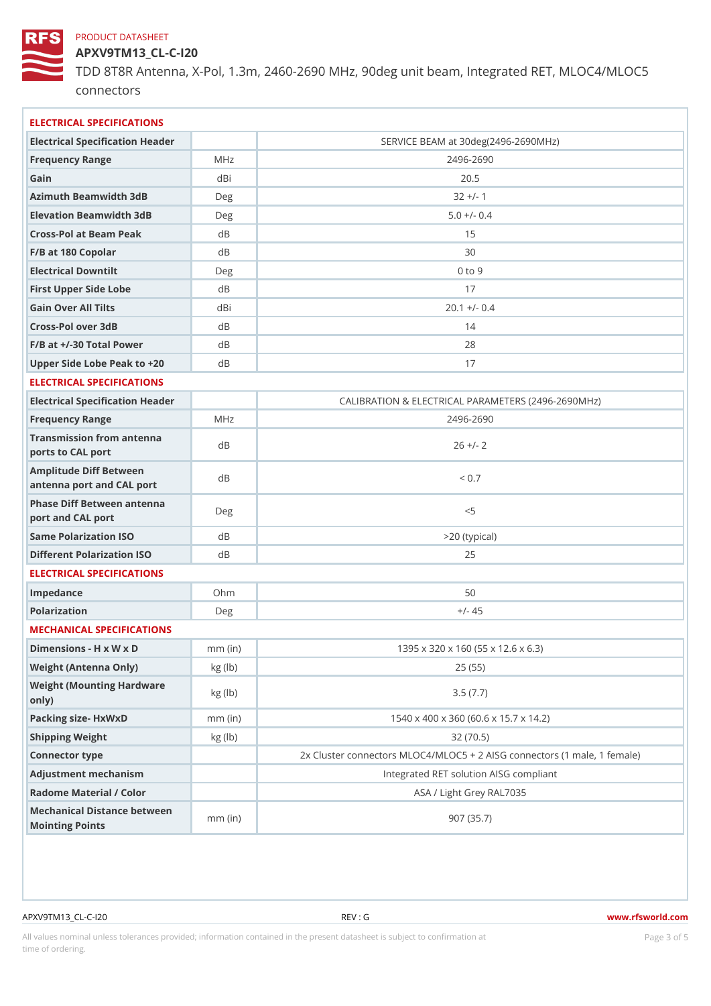APXV9TM13\_CL-C-I20 TDD 8T8R Antenna, X-Pol, 1.3m, 2460-2690 MHz, 90deg unit beam, Int connectors

| ELECTRICAL SPECIFICATIONS                                    |                                   |                                                         |  |  |  |  |  |
|--------------------------------------------------------------|-----------------------------------|---------------------------------------------------------|--|--|--|--|--|
| Electrical Specification Header                              |                                   | SERVICE BEAM at 30deg(2496-2690MHz)                     |  |  |  |  |  |
| Frequency Range                                              | MHz                               | $2496 - 2690$                                           |  |  |  |  |  |
| Gain                                                         | dBi                               | $20.5$                                                  |  |  |  |  |  |
| Azimuth Beamwidth 3dB                                        | Deg                               | $32 +/- 1$                                              |  |  |  |  |  |
| Elevation Beamwidth 3dB                                      | Deg                               | $5.0 +/- 0.4$                                           |  |  |  |  |  |
| Cross-Pol at Beam Peak                                       | d B                               | 15                                                      |  |  |  |  |  |
| F/B at 180 Copolar                                           | d B                               | 30                                                      |  |  |  |  |  |
| Electrical Downtilt                                          | Deg                               | $0$ to $9$                                              |  |  |  |  |  |
| First Upper Side Lobe                                        | d B                               | 17                                                      |  |  |  |  |  |
| Gain Over All Tilts                                          | dBi                               | $20.1 +/- 0.4$                                          |  |  |  |  |  |
| Cross-Pol over 3dB                                           | d B                               | 14                                                      |  |  |  |  |  |
| $F/B$ at $+/-30$ Total Power                                 | d B                               | 28                                                      |  |  |  |  |  |
| Upper Side Lobe Peak to +20B                                 |                                   | 17                                                      |  |  |  |  |  |
| ELECTRICAL SPECIFICATIONS                                    |                                   |                                                         |  |  |  |  |  |
| Electrical Specification Header                              |                                   | CALIBRATION & ELECTRICAL PARAMETERS (2496-269           |  |  |  |  |  |
| Frequency Range                                              | M H z                             | $2496 - 2690$                                           |  |  |  |  |  |
| Transmission from antenna<br>ports to CAL port               | dB                                | $26 + / - 2$                                            |  |  |  |  |  |
| Amplitude Diff Between<br>antenna port and CAL port          | d B                               | < 0.7                                                   |  |  |  |  |  |
| Phase Diff Between ant anna<br>port and CAL port             |                                   | < 5                                                     |  |  |  |  |  |
| Same Polarization ISO                                        | $d \, B$                          | >20 (typical)                                           |  |  |  |  |  |
| Different Polarization ISO dB                                |                                   | 25                                                      |  |  |  |  |  |
| ELECTRICAL SPECIFICATIONS                                    |                                   |                                                         |  |  |  |  |  |
| Impedance                                                    | $Oh$ m                            | 50                                                      |  |  |  |  |  |
| Polarization                                                 | Deg                               | $+/- 45$                                                |  |  |  |  |  |
| MECHANICAL SPECIFICATIONS                                    |                                   |                                                         |  |  |  |  |  |
| Dimensions - H x W x D mm (in)                               |                                   | 1395 x 320 x 160 (55 x 12.6 x 6.3)                      |  |  |  |  |  |
| Weight (Antenna Only)                                        | kg (lb)                           | 25(55)                                                  |  |  |  |  |  |
| Weight (Mounting Hardware kg (lb)<br>$\circ$ n $\vert$ y $)$ |                                   | 3.5(7.7)                                                |  |  |  |  |  |
| Packing size- HxWxD                                          | $mm$ (in)                         | 1540 x 400 x 360 (60.6 x 15.7 x 14.2)                   |  |  |  |  |  |
| Shipping Weight                                              | kg (lb)                           | 32(70.5)                                                |  |  |  |  |  |
| Connector type                                               |                                   | 2x Cluster connectors MLOC4/MLOC5 + 2 AISG connectors ( |  |  |  |  |  |
| Adjustment mechanism                                         |                                   | Integrated RET solution AISG compliant                  |  |  |  |  |  |
| Radome Material / Color                                      |                                   | ASA / Light Grey RAL7035                                |  |  |  |  |  |
| Mechanical Distance between<br>Mointing Points               | $\overline{m}\,\overline{m}$ (in) | 907(35.7)                                               |  |  |  |  |  |

APXV9TM13\_CL-C-I20 REV : G www.rfsworld.com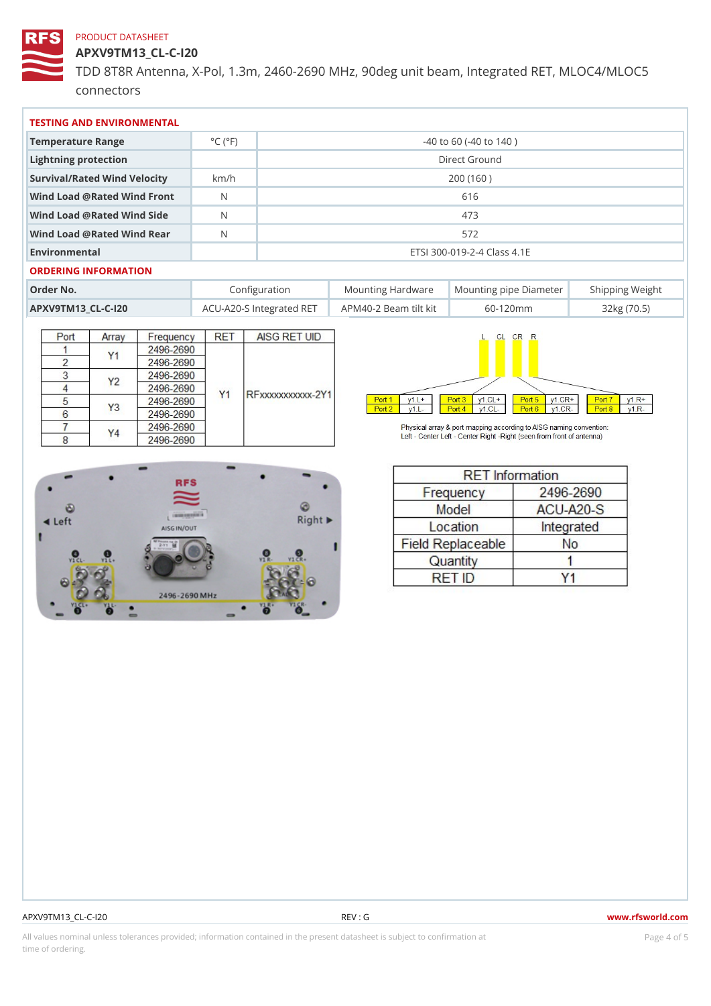APXV9TM13\_CL-C-I20

TDD 8T8R Antenna, X-Pol, 1.3m, 2460-2690 MHz, 90deg unit beam, Int connectors

| TESTING AND ENVIRONMENTAL      |                             |                             |                                                      |  |  |  |  |                  |  |  |  |
|--------------------------------|-----------------------------|-----------------------------|------------------------------------------------------|--|--|--|--|------------------|--|--|--|
| Temperature Range              | $^{\circ}$ C ( $^{\circ}$ F | $-40$ to 60 ( $-40$ to 140) |                                                      |  |  |  |  |                  |  |  |  |
| Lightning protection           |                             | Direct Ground               |                                                      |  |  |  |  |                  |  |  |  |
| Survival/Rated Wind Velocikm/h |                             | 200 (160)                   |                                                      |  |  |  |  |                  |  |  |  |
| Wind Load @ Rated Wind Front   |                             | 616                         |                                                      |  |  |  |  |                  |  |  |  |
| Wind Load @ Rated Wind Side    |                             | 473                         |                                                      |  |  |  |  |                  |  |  |  |
| Wind Load @ Rated Wind ReaN    |                             | 572                         |                                                      |  |  |  |  |                  |  |  |  |
| Environmental                  |                             | ETSI 300-019-2-4 Class 4.1E |                                                      |  |  |  |  |                  |  |  |  |
| ORDERING INFORMATION           |                             |                             |                                                      |  |  |  |  |                  |  |  |  |
| Order No.                      |                             | Configuration               | Mounting HardwaMeunting pipe DiameStheirpping Weight |  |  |  |  |                  |  |  |  |
| APXV9TM13 CL-C-120             |                             |                             | ACU-A20-S IntegrateAdPRME4T0-2 Beam :ilt kit60-120mm |  |  |  |  | $32$ kg $(70.5)$ |  |  |  |

APXV9TM13\_CL-C-I20 REV : G www.rfsworld.com